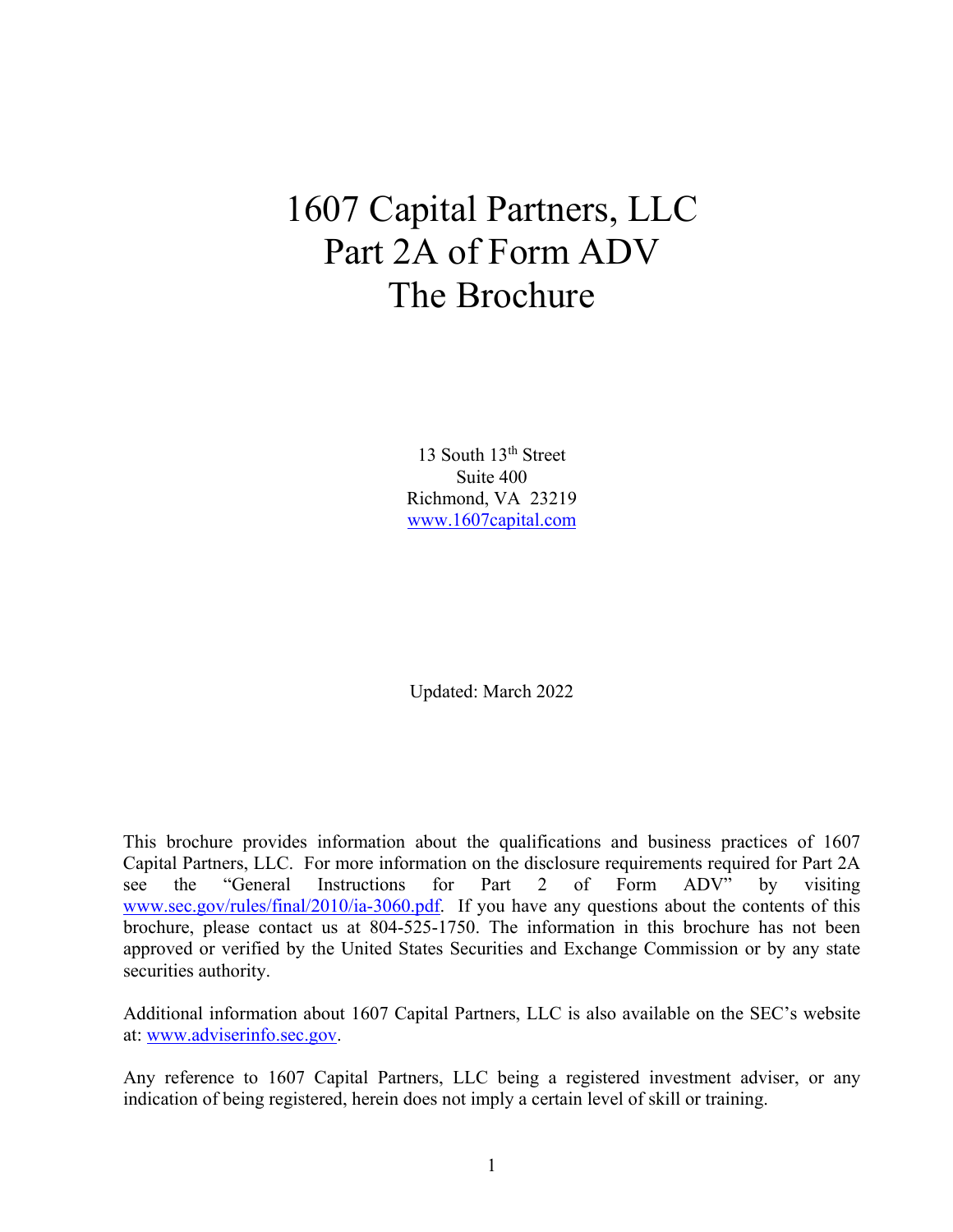# 1607 Capital Partners, LLC Part 2A of Form ADV The Brochure

13 South 13<sup>th</sup> Street Suite 400 Richmond, VA 23219 www.1607capital.com

Updated: March 2022

This brochure provides information about the qualifications and business practices of 1607 Capital Partners, LLC. For more information on the disclosure requirements required for Part 2A see the "General Instructions for Part 2 of Form ADV" by visiting www.sec.gov/rules/final/2010/ia-3060.pdf. If you have any questions about the contents of this brochure, please contact us at 804-525-1750. The information in this brochure has not been approved or verified by the United States Securities and Exchange Commission or by any state securities authority.

Additional information about 1607 Capital Partners, LLC is also available on the SEC's website at: www.adviserinfo.sec.gov.

Any reference to 1607 Capital Partners, LLC being a registered investment adviser, or any indication of being registered, herein does not imply a certain level of skill or training.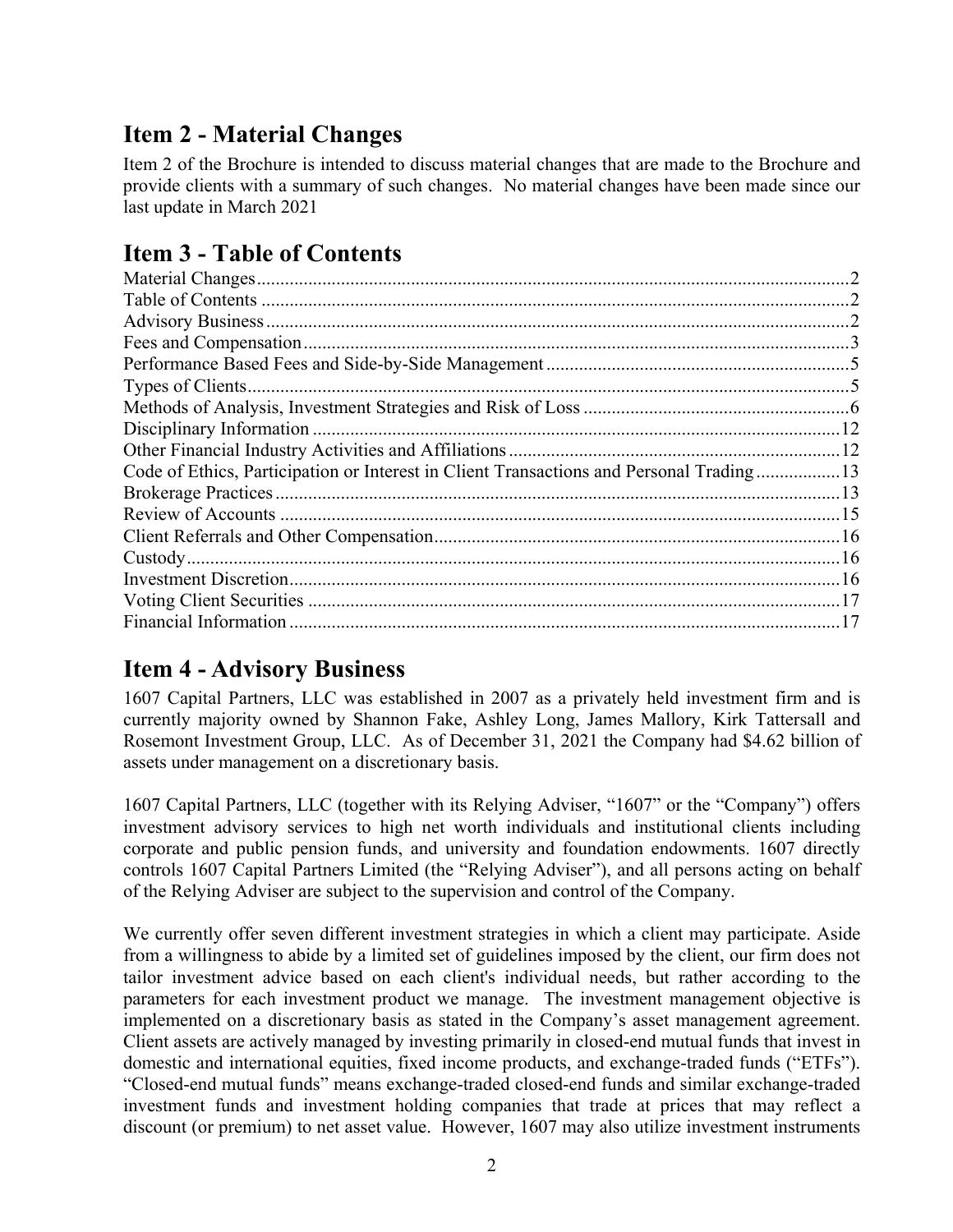# **Item 2 - Material Changes**

Item 2 of the Brochure is intended to discuss material changes that are made to the Brochure and provide clients with a summary of such changes. No material changes have been made since our last update in March 2021

# **Item 3 - Table of Contents**

# **Item 4 - Advisory Business**

1607 Capital Partners, LLC was established in 2007 as a privately held investment firm and is currently majority owned by Shannon Fake, Ashley Long, James Mallory, Kirk Tattersall and Rosemont Investment Group, LLC. As of December 31, 2021 the Company had \$4.62 billion of assets under management on a discretionary basis.

1607 Capital Partners, LLC (together with its Relying Adviser, "1607" or the "Company") offers investment advisory services to high net worth individuals and institutional clients including corporate and public pension funds, and university and foundation endowments. 1607 directly controls 1607 Capital Partners Limited (the "Relying Adviser"), and all persons acting on behalf of the Relying Adviser are subject to the supervision and control of the Company.

We currently offer seven different investment strategies in which a client may participate. Aside from a willingness to abide by a limited set of guidelines imposed by the client, our firm does not tailor investment advice based on each client's individual needs, but rather according to the parameters for each investment product we manage. The investment management objective is implemented on a discretionary basis as stated in the Company's asset management agreement. Client assets are actively managed by investing primarily in closed-end mutual funds that invest in domestic and international equities, fixed income products, and exchange-traded funds ("ETFs"). "Closed-end mutual funds" means exchange-traded closed-end funds and similar exchange-traded investment funds and investment holding companies that trade at prices that may reflect a discount (or premium) to net asset value. However, 1607 may also utilize investment instruments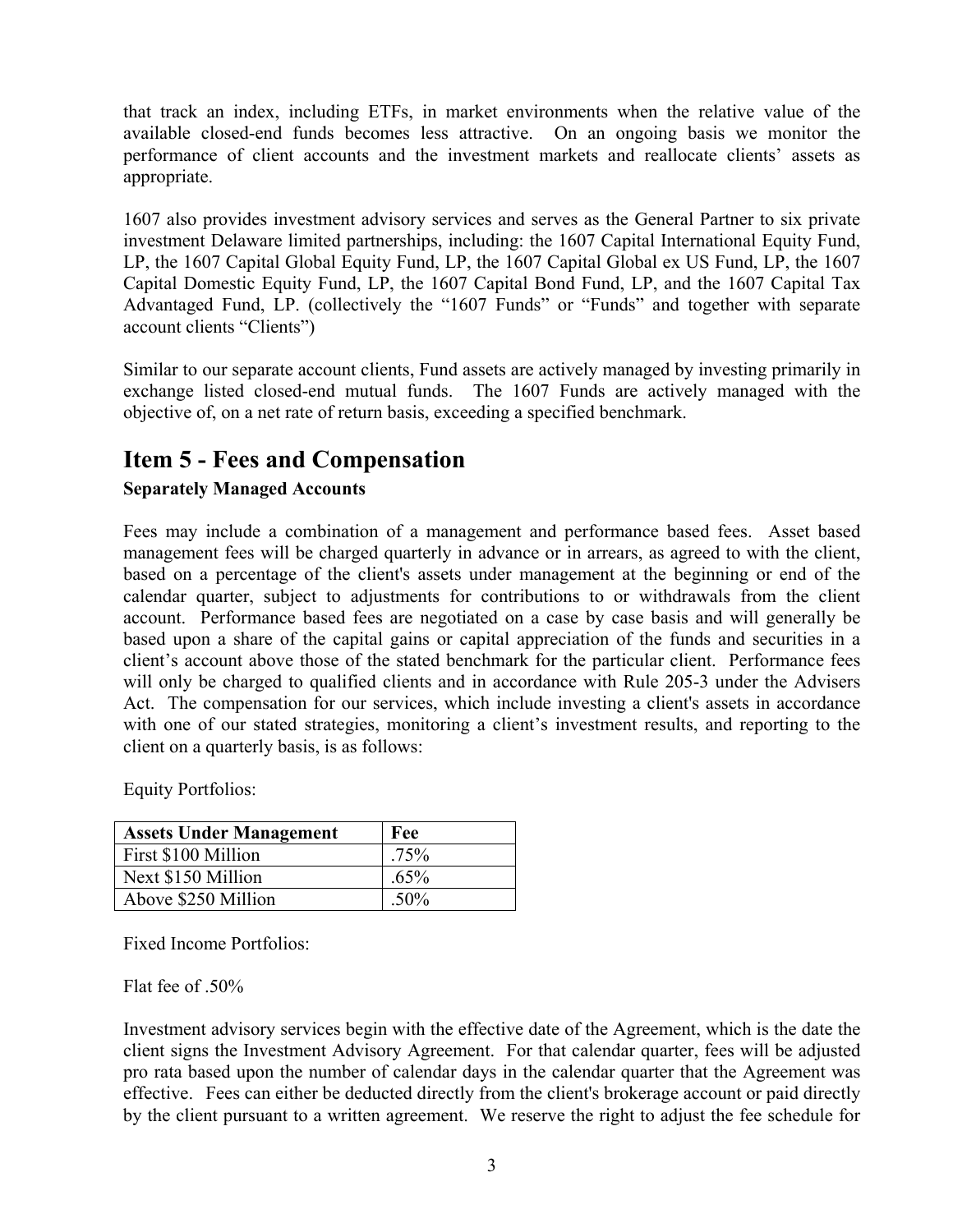that track an index, including ETFs, in market environments when the relative value of the available closed-end funds becomes less attractive. On an ongoing basis we monitor the performance of client accounts and the investment markets and reallocate clients' assets as appropriate.

1607 also provides investment advisory services and serves as the General Partner to six private investment Delaware limited partnerships, including: the 1607 Capital International Equity Fund, LP, the 1607 Capital Global Equity Fund, LP, the 1607 Capital Global ex US Fund, LP, the 1607 Capital Domestic Equity Fund, LP, the 1607 Capital Bond Fund, LP, and the 1607 Capital Tax Advantaged Fund, LP. (collectively the "1607 Funds" or "Funds" and together with separate account clients "Clients")

Similar to our separate account clients, Fund assets are actively managed by investing primarily in exchange listed closed-end mutual funds. The 1607 Funds are actively managed with the objective of, on a net rate of return basis, exceeding a specified benchmark.

# **Item 5 - Fees and Compensation**

#### **Separately Managed Accounts**

Fees may include a combination of a management and performance based fees. Asset based management fees will be charged quarterly in advance or in arrears, as agreed to with the client, based on a percentage of the client's assets under management at the beginning or end of the calendar quarter, subject to adjustments for contributions to or withdrawals from the client account. Performance based fees are negotiated on a case by case basis and will generally be based upon a share of the capital gains or capital appreciation of the funds and securities in a client's account above those of the stated benchmark for the particular client. Performance fees will only be charged to qualified clients and in accordance with Rule 205-3 under the Advisers Act. The compensation for our services, which include investing a client's assets in accordance with one of our stated strategies, monitoring a client's investment results, and reporting to the client on a quarterly basis, is as follows:

Equity Portfolios:

| <b>Assets Under Management</b> | Fee     |
|--------------------------------|---------|
| First \$100 Million            | $.75\%$ |
| Next \$150 Million             | $.65\%$ |
| Above \$250 Million            | $.50\%$ |

Fixed Income Portfolios:

Flat fee of .50%

Investment advisory services begin with the effective date of the Agreement, which is the date the client signs the Investment Advisory Agreement. For that calendar quarter, fees will be adjusted pro rata based upon the number of calendar days in the calendar quarter that the Agreement was effective. Fees can either be deducted directly from the client's brokerage account or paid directly by the client pursuant to a written agreement. We reserve the right to adjust the fee schedule for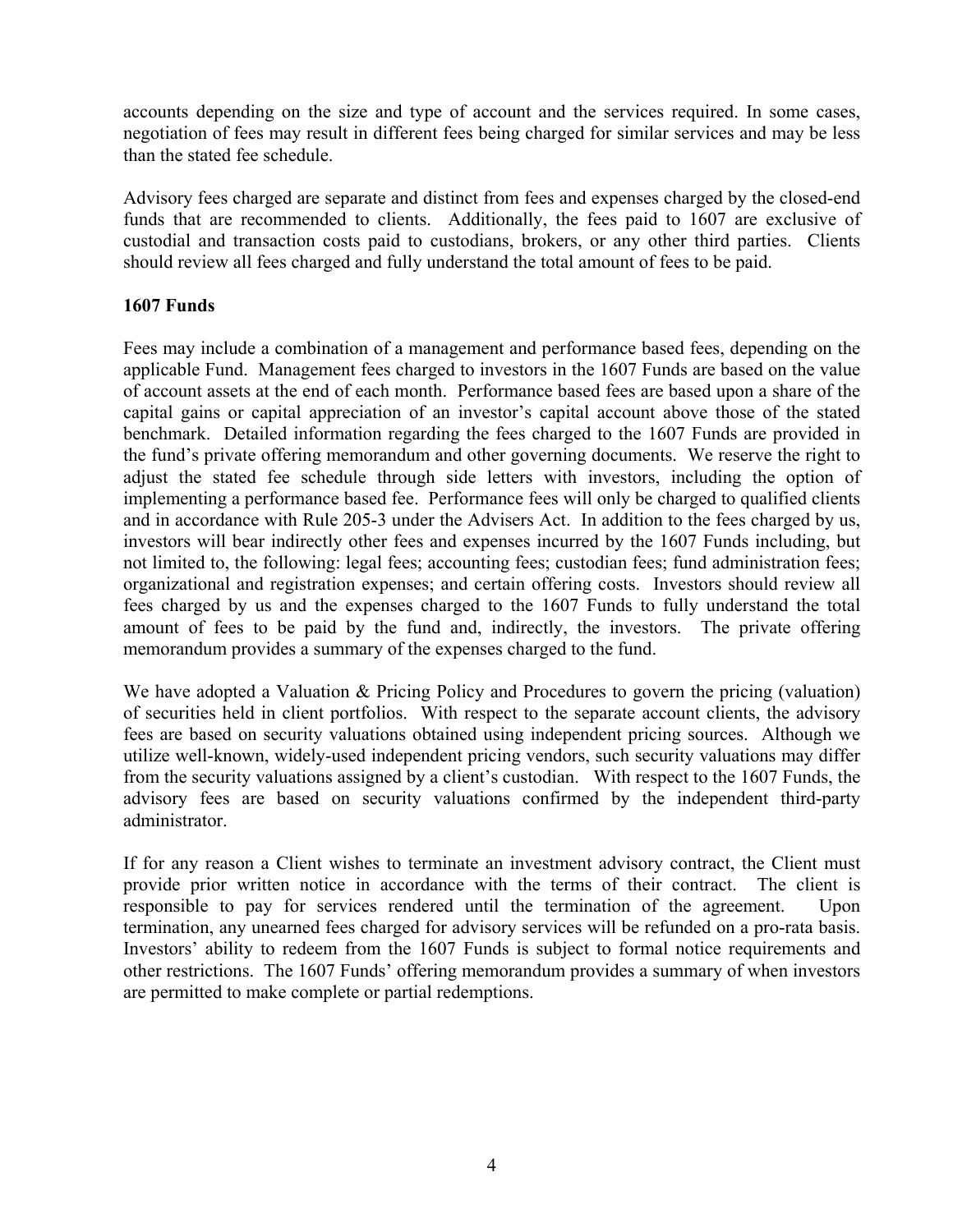accounts depending on the size and type of account and the services required. In some cases, negotiation of fees may result in different fees being charged for similar services and may be less than the stated fee schedule.

Advisory fees charged are separate and distinct from fees and expenses charged by the closed-end funds that are recommended to clients. Additionally, the fees paid to 1607 are exclusive of custodial and transaction costs paid to custodians, brokers, or any other third parties. Clients should review all fees charged and fully understand the total amount of fees to be paid.

#### **1607 Funds**

Fees may include a combination of a management and performance based fees, depending on the applicable Fund. Management fees charged to investors in the 1607 Funds are based on the value of account assets at the end of each month. Performance based fees are based upon a share of the capital gains or capital appreciation of an investor's capital account above those of the stated benchmark. Detailed information regarding the fees charged to the 1607 Funds are provided in the fund's private offering memorandum and other governing documents. We reserve the right to adjust the stated fee schedule through side letters with investors, including the option of implementing a performance based fee. Performance fees will only be charged to qualified clients and in accordance with Rule 205-3 under the Advisers Act. In addition to the fees charged by us, investors will bear indirectly other fees and expenses incurred by the 1607 Funds including, but not limited to, the following: legal fees; accounting fees; custodian fees; fund administration fees; organizational and registration expenses; and certain offering costs. Investors should review all fees charged by us and the expenses charged to the 1607 Funds to fully understand the total amount of fees to be paid by the fund and, indirectly, the investors. The private offering memorandum provides a summary of the expenses charged to the fund.

We have adopted a Valuation & Pricing Policy and Procedures to govern the pricing (valuation) of securities held in client portfolios. With respect to the separate account clients, the advisory fees are based on security valuations obtained using independent pricing sources. Although we utilize well-known, widely-used independent pricing vendors, such security valuations may differ from the security valuations assigned by a client's custodian. With respect to the 1607 Funds, the advisory fees are based on security valuations confirmed by the independent third-party administrator.

If for any reason a Client wishes to terminate an investment advisory contract, the Client must provide prior written notice in accordance with the terms of their contract. The client is responsible to pay for services rendered until the termination of the agreement. Upon termination, any unearned fees charged for advisory services will be refunded on a pro-rata basis. Investors' ability to redeem from the 1607 Funds is subject to formal notice requirements and other restrictions. The 1607 Funds' offering memorandum provides a summary of when investors are permitted to make complete or partial redemptions.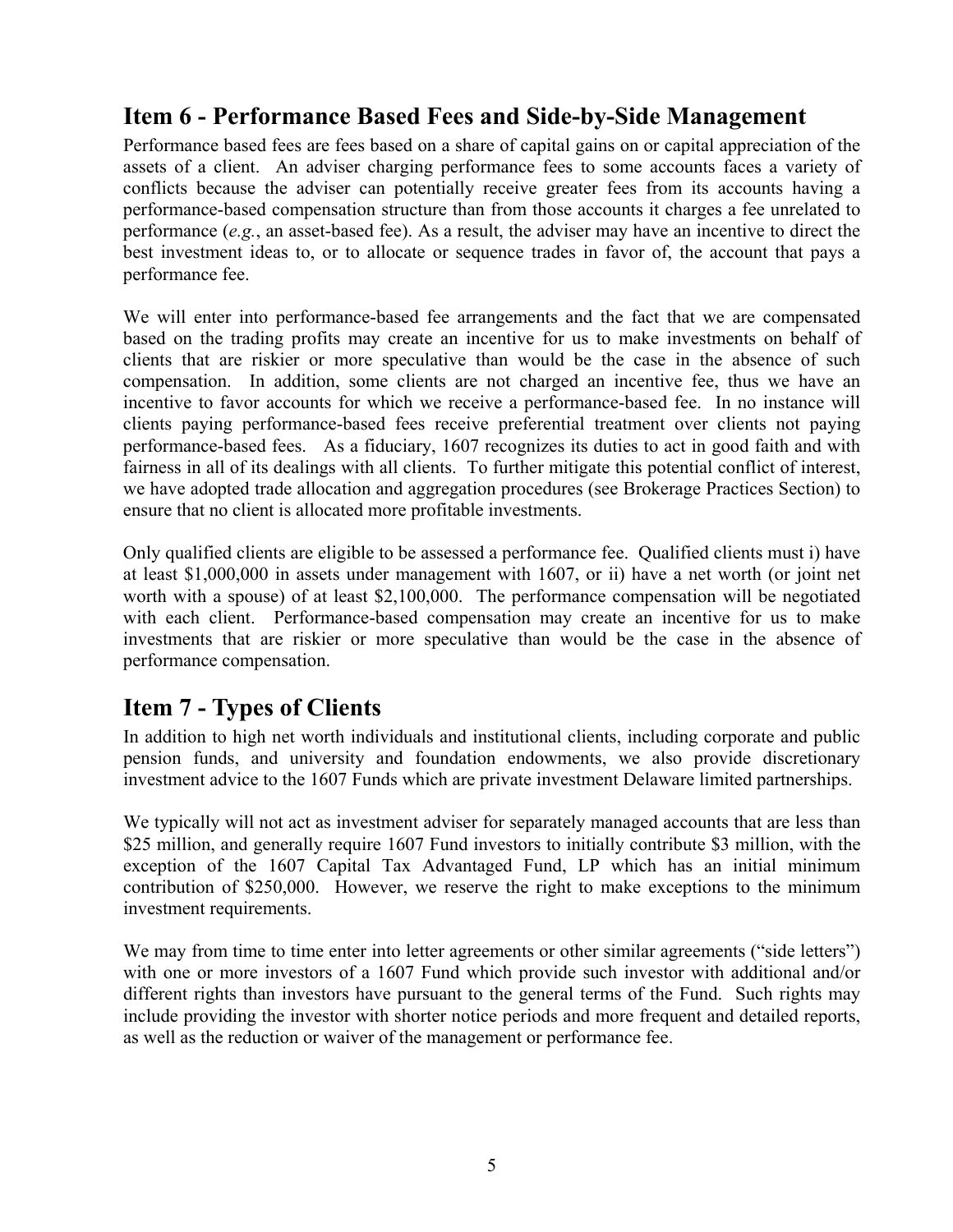### **Item 6 - Performance Based Fees and Side-by-Side Management**

Performance based fees are fees based on a share of capital gains on or capital appreciation of the assets of a client. An adviser charging performance fees to some accounts faces a variety of conflicts because the adviser can potentially receive greater fees from its accounts having a performance-based compensation structure than from those accounts it charges a fee unrelated to performance (*e.g.*, an asset-based fee). As a result, the adviser may have an incentive to direct the best investment ideas to, or to allocate or sequence trades in favor of, the account that pays a performance fee.

We will enter into performance-based fee arrangements and the fact that we are compensated based on the trading profits may create an incentive for us to make investments on behalf of clients that are riskier or more speculative than would be the case in the absence of such compensation. In addition, some clients are not charged an incentive fee, thus we have an incentive to favor accounts for which we receive a performance-based fee. In no instance will clients paying performance-based fees receive preferential treatment over clients not paying performance-based fees. As a fiduciary, 1607 recognizes its duties to act in good faith and with fairness in all of its dealings with all clients. To further mitigate this potential conflict of interest, we have adopted trade allocation and aggregation procedures (see Brokerage Practices Section) to ensure that no client is allocated more profitable investments.

Only qualified clients are eligible to be assessed a performance fee. Qualified clients must i) have at least \$1,000,000 in assets under management with 1607, or ii) have a net worth (or joint net worth with a spouse) of at least \$2,100,000. The performance compensation will be negotiated with each client. Performance-based compensation may create an incentive for us to make investments that are riskier or more speculative than would be the case in the absence of performance compensation.

### **Item 7 - Types of Clients**

In addition to high net worth individuals and institutional clients, including corporate and public pension funds, and university and foundation endowments, we also provide discretionary investment advice to the 1607 Funds which are private investment Delaware limited partnerships.

We typically will not act as investment adviser for separately managed accounts that are less than \$25 million, and generally require 1607 Fund investors to initially contribute \$3 million, with the exception of the 1607 Capital Tax Advantaged Fund, LP which has an initial minimum contribution of \$250,000. However, we reserve the right to make exceptions to the minimum investment requirements.

We may from time to time enter into letter agreements or other similar agreements ("side letters") with one or more investors of a 1607 Fund which provide such investor with additional and/or different rights than investors have pursuant to the general terms of the Fund. Such rights may include providing the investor with shorter notice periods and more frequent and detailed reports, as well as the reduction or waiver of the management or performance fee.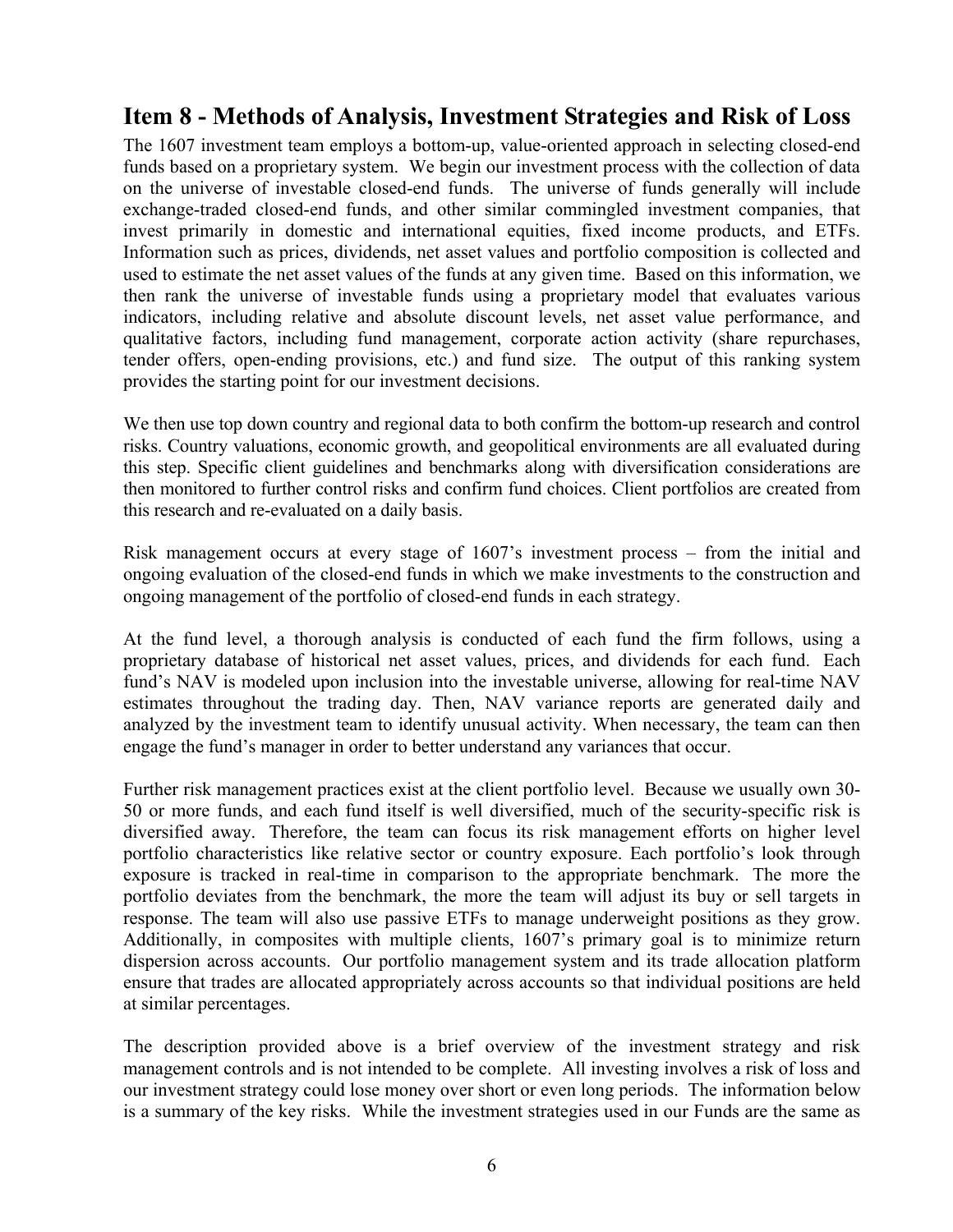### **Item 8 - Methods of Analysis, Investment Strategies and Risk of Loss**

The 1607 investment team employs a bottom-up, value-oriented approach in selecting closed-end funds based on a proprietary system. We begin our investment process with the collection of data on the universe of investable closed-end funds. The universe of funds generally will include exchange-traded closed-end funds, and other similar commingled investment companies, that invest primarily in domestic and international equities, fixed income products, and ETFs. Information such as prices, dividends, net asset values and portfolio composition is collected and used to estimate the net asset values of the funds at any given time. Based on this information, we then rank the universe of investable funds using a proprietary model that evaluates various indicators, including relative and absolute discount levels, net asset value performance, and qualitative factors, including fund management, corporate action activity (share repurchases, tender offers, open-ending provisions, etc.) and fund size. The output of this ranking system provides the starting point for our investment decisions.

We then use top down country and regional data to both confirm the bottom-up research and control risks. Country valuations, economic growth, and geopolitical environments are all evaluated during this step. Specific client guidelines and benchmarks along with diversification considerations are then monitored to further control risks and confirm fund choices. Client portfolios are created from this research and re-evaluated on a daily basis.

Risk management occurs at every stage of 1607's investment process – from the initial and ongoing evaluation of the closed-end funds in which we make investments to the construction and ongoing management of the portfolio of closed-end funds in each strategy.

At the fund level, a thorough analysis is conducted of each fund the firm follows, using a proprietary database of historical net asset values, prices, and dividends for each fund. Each fund's NAV is modeled upon inclusion into the investable universe, allowing for real-time NAV estimates throughout the trading day. Then, NAV variance reports are generated daily and analyzed by the investment team to identify unusual activity. When necessary, the team can then engage the fund's manager in order to better understand any variances that occur.

Further risk management practices exist at the client portfolio level. Because we usually own 30- 50 or more funds, and each fund itself is well diversified, much of the security-specific risk is diversified away. Therefore, the team can focus its risk management efforts on higher level portfolio characteristics like relative sector or country exposure. Each portfolio's look through exposure is tracked in real-time in comparison to the appropriate benchmark. The more the portfolio deviates from the benchmark, the more the team will adjust its buy or sell targets in response. The team will also use passive ETFs to manage underweight positions as they grow. Additionally, in composites with multiple clients, 1607's primary goal is to minimize return dispersion across accounts. Our portfolio management system and its trade allocation platform ensure that trades are allocated appropriately across accounts so that individual positions are held at similar percentages.

The description provided above is a brief overview of the investment strategy and risk management controls and is not intended to be complete. All investing involves a risk of loss and our investment strategy could lose money over short or even long periods. The information below is a summary of the key risks. While the investment strategies used in our Funds are the same as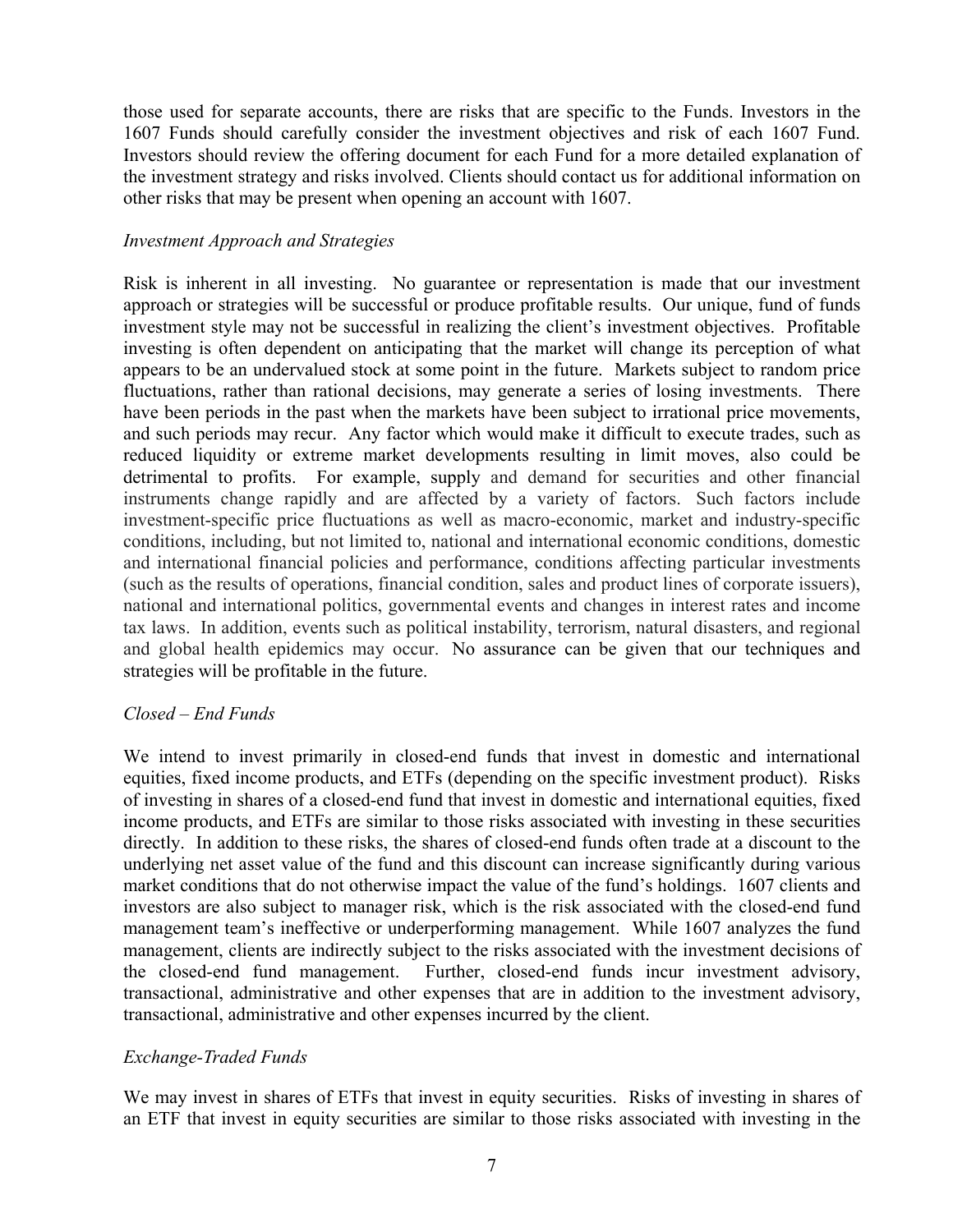those used for separate accounts, there are risks that are specific to the Funds. Investors in the 1607 Funds should carefully consider the investment objectives and risk of each 1607 Fund. Investors should review the offering document for each Fund for a more detailed explanation of the investment strategy and risks involved. Clients should contact us for additional information on other risks that may be present when opening an account with 1607.

#### *Investment Approach and Strategies*

Risk is inherent in all investing. No guarantee or representation is made that our investment approach or strategies will be successful or produce profitable results. Our unique, fund of funds investment style may not be successful in realizing the client's investment objectives. Profitable investing is often dependent on anticipating that the market will change its perception of what appears to be an undervalued stock at some point in the future. Markets subject to random price fluctuations, rather than rational decisions, may generate a series of losing investments. There have been periods in the past when the markets have been subject to irrational price movements, and such periods may recur. Any factor which would make it difficult to execute trades, such as reduced liquidity or extreme market developments resulting in limit moves, also could be detrimental to profits. For example, supply and demand for securities and other financial instruments change rapidly and are affected by a variety of factors. Such factors include investment-specific price fluctuations as well as macro-economic, market and industry-specific conditions, including, but not limited to, national and international economic conditions, domestic and international financial policies and performance, conditions affecting particular investments (such as the results of operations, financial condition, sales and product lines of corporate issuers), national and international politics, governmental events and changes in interest rates and income tax laws. In addition, events such as political instability, terrorism, natural disasters, and regional and global health epidemics may occur. No assurance can be given that our techniques and strategies will be profitable in the future.

#### *Closed – End Funds*

We intend to invest primarily in closed-end funds that invest in domestic and international equities, fixed income products, and ETFs (depending on the specific investment product). Risks of investing in shares of a closed-end fund that invest in domestic and international equities, fixed income products, and ETFs are similar to those risks associated with investing in these securities directly. In addition to these risks, the shares of closed-end funds often trade at a discount to the underlying net asset value of the fund and this discount can increase significantly during various market conditions that do not otherwise impact the value of the fund's holdings. 1607 clients and investors are also subject to manager risk, which is the risk associated with the closed-end fund management team's ineffective or underperforming management. While 1607 analyzes the fund management, clients are indirectly subject to the risks associated with the investment decisions of the closed-end fund management. Further, closed-end funds incur investment advisory, transactional, administrative and other expenses that are in addition to the investment advisory, transactional, administrative and other expenses incurred by the client.

#### *Exchange-Traded Funds*

We may invest in shares of ETFs that invest in equity securities. Risks of investing in shares of an ETF that invest in equity securities are similar to those risks associated with investing in the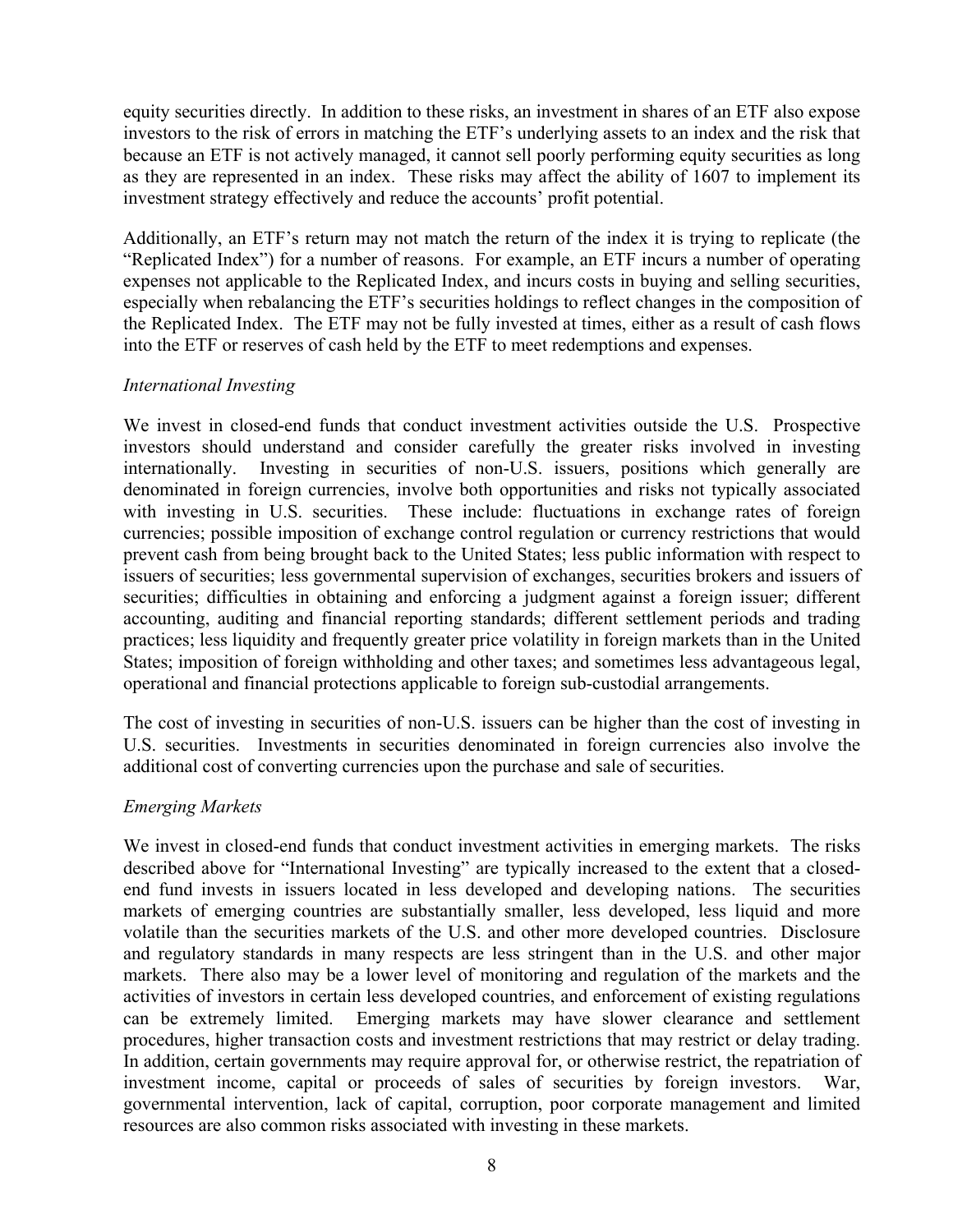equity securities directly. In addition to these risks, an investment in shares of an ETF also expose investors to the risk of errors in matching the ETF's underlying assets to an index and the risk that because an ETF is not actively managed, it cannot sell poorly performing equity securities as long as they are represented in an index. These risks may affect the ability of 1607 to implement its investment strategy effectively and reduce the accounts' profit potential.

Additionally, an ETF's return may not match the return of the index it is trying to replicate (the "Replicated Index") for a number of reasons. For example, an ETF incurs a number of operating expenses not applicable to the Replicated Index, and incurs costs in buying and selling securities, especially when rebalancing the ETF's securities holdings to reflect changes in the composition of the Replicated Index. The ETF may not be fully invested at times, either as a result of cash flows into the ETF or reserves of cash held by the ETF to meet redemptions and expenses.

#### *International Investing*

We invest in closed-end funds that conduct investment activities outside the U.S. Prospective investors should understand and consider carefully the greater risks involved in investing internationally. Investing in securities of non-U.S. issuers, positions which generally are denominated in foreign currencies, involve both opportunities and risks not typically associated with investing in U.S. securities. These include: fluctuations in exchange rates of foreign currencies; possible imposition of exchange control regulation or currency restrictions that would prevent cash from being brought back to the United States; less public information with respect to issuers of securities; less governmental supervision of exchanges, securities brokers and issuers of securities; difficulties in obtaining and enforcing a judgment against a foreign issuer; different accounting, auditing and financial reporting standards; different settlement periods and trading practices; less liquidity and frequently greater price volatility in foreign markets than in the United States; imposition of foreign withholding and other taxes; and sometimes less advantageous legal, operational and financial protections applicable to foreign sub-custodial arrangements.

The cost of investing in securities of non-U.S. issuers can be higher than the cost of investing in U.S. securities. Investments in securities denominated in foreign currencies also involve the additional cost of converting currencies upon the purchase and sale of securities.

#### *Emerging Markets*

We invest in closed-end funds that conduct investment activities in emerging markets. The risks described above for "International Investing" are typically increased to the extent that a closedend fund invests in issuers located in less developed and developing nations. The securities markets of emerging countries are substantially smaller, less developed, less liquid and more volatile than the securities markets of the U.S. and other more developed countries. Disclosure and regulatory standards in many respects are less stringent than in the U.S. and other major markets. There also may be a lower level of monitoring and regulation of the markets and the activities of investors in certain less developed countries, and enforcement of existing regulations can be extremely limited. Emerging markets may have slower clearance and settlement procedures, higher transaction costs and investment restrictions that may restrict or delay trading. In addition, certain governments may require approval for, or otherwise restrict, the repatriation of investment income, capital or proceeds of sales of securities by foreign investors. War, governmental intervention, lack of capital, corruption, poor corporate management and limited resources are also common risks associated with investing in these markets.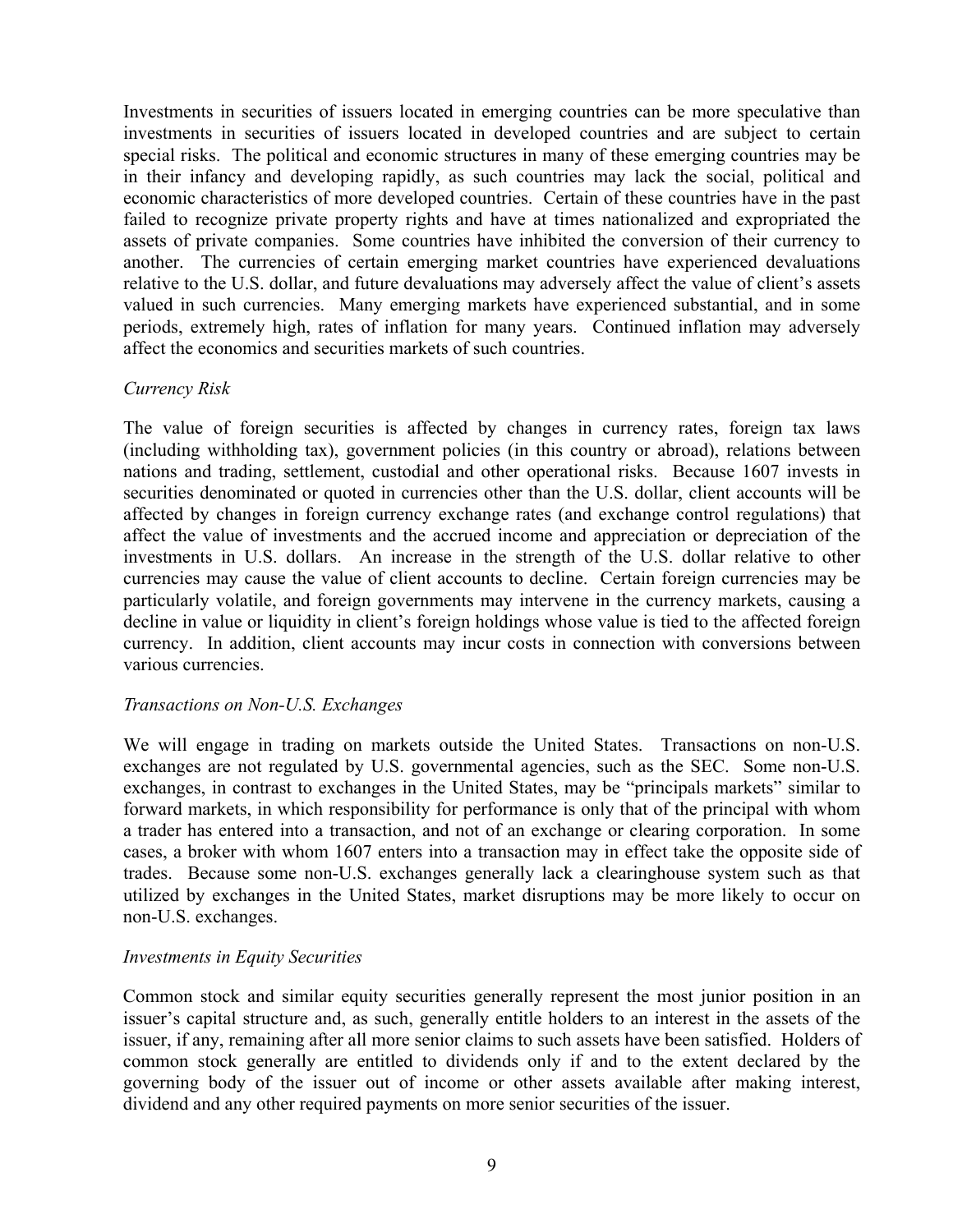Investments in securities of issuers located in emerging countries can be more speculative than investments in securities of issuers located in developed countries and are subject to certain special risks. The political and economic structures in many of these emerging countries may be in their infancy and developing rapidly, as such countries may lack the social, political and economic characteristics of more developed countries. Certain of these countries have in the past failed to recognize private property rights and have at times nationalized and expropriated the assets of private companies. Some countries have inhibited the conversion of their currency to another. The currencies of certain emerging market countries have experienced devaluations relative to the U.S. dollar, and future devaluations may adversely affect the value of client's assets valued in such currencies. Many emerging markets have experienced substantial, and in some periods, extremely high, rates of inflation for many years. Continued inflation may adversely affect the economics and securities markets of such countries.

#### *Currency Risk*

The value of foreign securities is affected by changes in currency rates, foreign tax laws (including withholding tax), government policies (in this country or abroad), relations between nations and trading, settlement, custodial and other operational risks. Because 1607 invests in securities denominated or quoted in currencies other than the U.S. dollar, client accounts will be affected by changes in foreign currency exchange rates (and exchange control regulations) that affect the value of investments and the accrued income and appreciation or depreciation of the investments in U.S. dollars. An increase in the strength of the U.S. dollar relative to other currencies may cause the value of client accounts to decline. Certain foreign currencies may be particularly volatile, and foreign governments may intervene in the currency markets, causing a decline in value or liquidity in client's foreign holdings whose value is tied to the affected foreign currency. In addition, client accounts may incur costs in connection with conversions between various currencies.

#### *Transactions on Non-U.S. Exchanges*

We will engage in trading on markets outside the United States. Transactions on non-U.S. exchanges are not regulated by U.S. governmental agencies, such as the SEC. Some non-U.S. exchanges, in contrast to exchanges in the United States, may be "principals markets" similar to forward markets, in which responsibility for performance is only that of the principal with whom a trader has entered into a transaction, and not of an exchange or clearing corporation. In some cases, a broker with whom 1607 enters into a transaction may in effect take the opposite side of trades. Because some non-U.S. exchanges generally lack a clearinghouse system such as that utilized by exchanges in the United States, market disruptions may be more likely to occur on non-U.S. exchanges.

#### *Investments in Equity Securities*

Common stock and similar equity securities generally represent the most junior position in an issuer's capital structure and, as such, generally entitle holders to an interest in the assets of the issuer, if any, remaining after all more senior claims to such assets have been satisfied. Holders of common stock generally are entitled to dividends only if and to the extent declared by the governing body of the issuer out of income or other assets available after making interest, dividend and any other required payments on more senior securities of the issuer.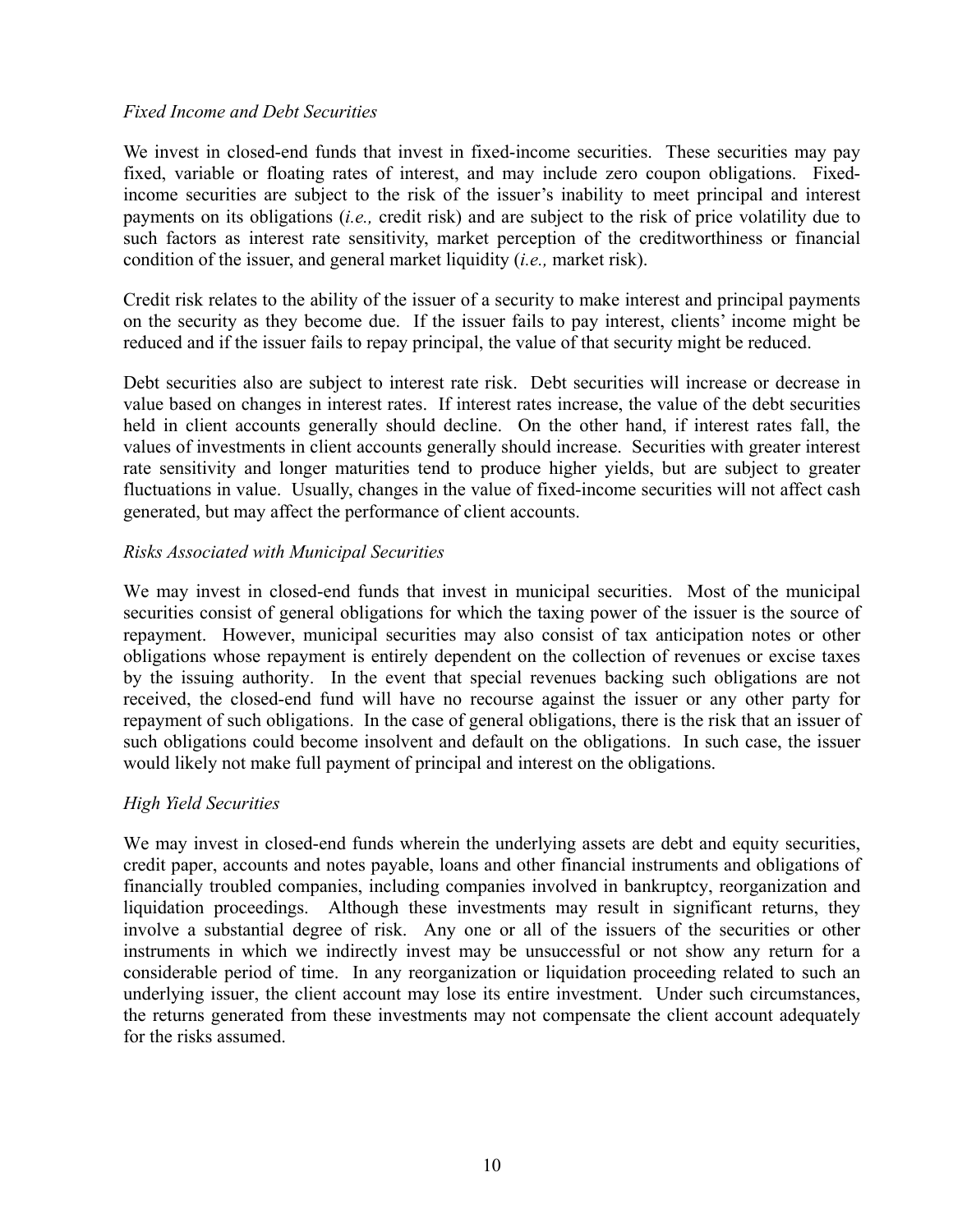#### *Fixed Income and Debt Securities*

We invest in closed-end funds that invest in fixed-income securities. These securities may pay fixed, variable or floating rates of interest, and may include zero coupon obligations. Fixedincome securities are subject to the risk of the issuer's inability to meet principal and interest payments on its obligations (*i.e.,* credit risk) and are subject to the risk of price volatility due to such factors as interest rate sensitivity, market perception of the creditworthiness or financial condition of the issuer, and general market liquidity (*i.e.,* market risk).

Credit risk relates to the ability of the issuer of a security to make interest and principal payments on the security as they become due. If the issuer fails to pay interest, clients' income might be reduced and if the issuer fails to repay principal, the value of that security might be reduced.

Debt securities also are subject to interest rate risk. Debt securities will increase or decrease in value based on changes in interest rates. If interest rates increase, the value of the debt securities held in client accounts generally should decline. On the other hand, if interest rates fall, the values of investments in client accounts generally should increase. Securities with greater interest rate sensitivity and longer maturities tend to produce higher yields, but are subject to greater fluctuations in value. Usually, changes in the value of fixed-income securities will not affect cash generated, but may affect the performance of client accounts.

#### *Risks Associated with Municipal Securities*

We may invest in closed-end funds that invest in municipal securities. Most of the municipal securities consist of general obligations for which the taxing power of the issuer is the source of repayment. However, municipal securities may also consist of tax anticipation notes or other obligations whose repayment is entirely dependent on the collection of revenues or excise taxes by the issuing authority.In the event that special revenues backing such obligations are not received, the closed-end fund will have no recourse against the issuer or any other party for repayment of such obligations. In the case of general obligations, there is the risk that an issuer of such obligations could become insolvent and default on the obligations. In such case, the issuer would likely not make full payment of principal and interest on the obligations.

#### *High Yield Securities*

We may invest in closed-end funds wherein the underlying assets are debt and equity securities, credit paper, accounts and notes payable, loans and other financial instruments and obligations of financially troubled companies, including companies involved in bankruptcy, reorganization and liquidation proceedings. Although these investments may result in significant returns, they involve a substantial degree of risk. Any one or all of the issuers of the securities or other instruments in which we indirectly invest may be unsuccessful or not show any return for a considerable period of time. In any reorganization or liquidation proceeding related to such an underlying issuer, the client account may lose its entire investment. Under such circumstances, the returns generated from these investments may not compensate the client account adequately for the risks assumed.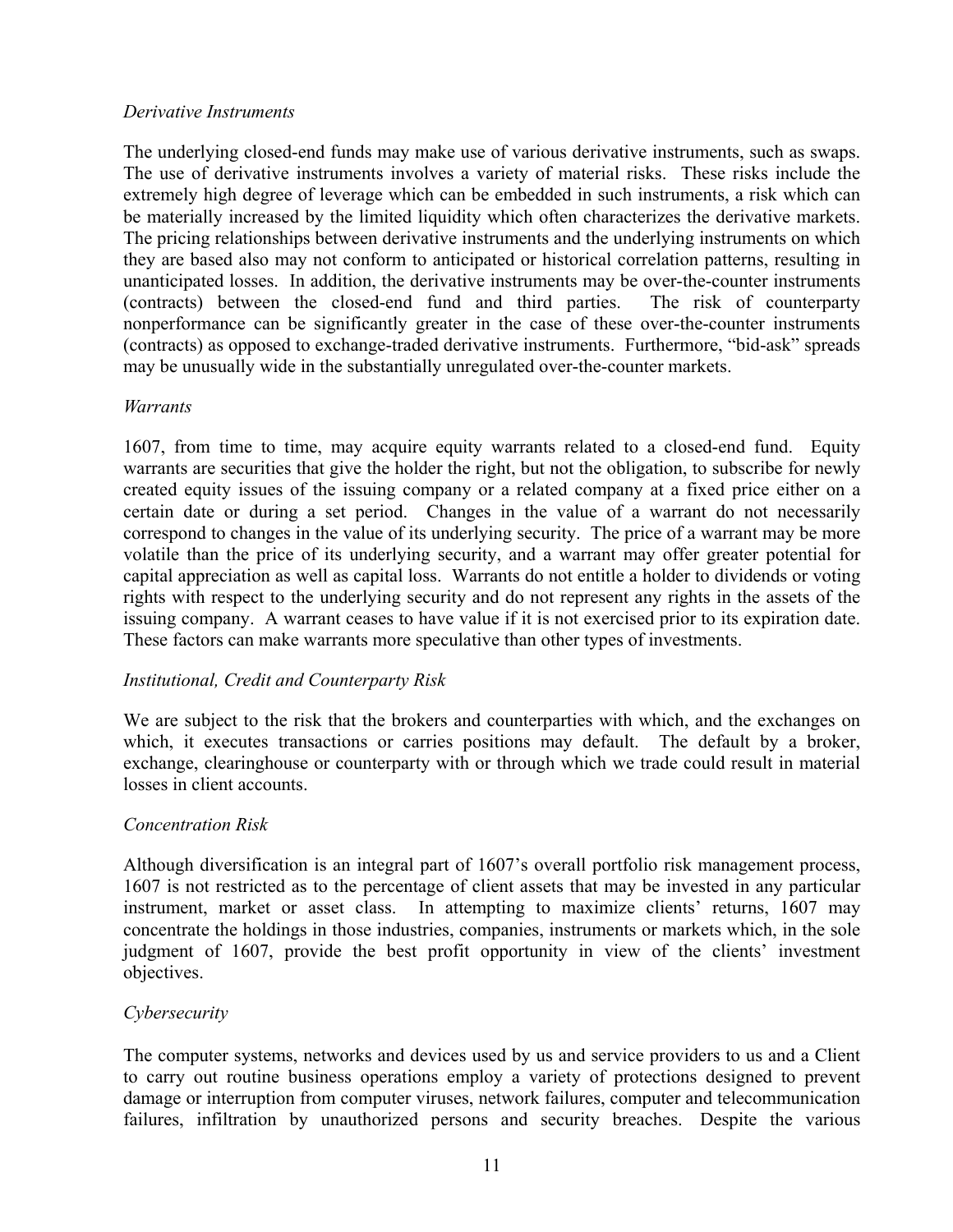#### *Derivative Instruments*

The underlying closed-end funds may make use of various derivative instruments, such as swaps. The use of derivative instruments involves a variety of material risks. These risks include the extremely high degree of leverage which can be embedded in such instruments, a risk which can be materially increased by the limited liquidity which often characterizes the derivative markets. The pricing relationships between derivative instruments and the underlying instruments on which they are based also may not conform to anticipated or historical correlation patterns, resulting in unanticipated losses. In addition, the derivative instruments may be over-the-counter instruments (contracts) between the closed-end fund and third parties. The risk of counterparty nonperformance can be significantly greater in the case of these over-the-counter instruments (contracts) as opposed to exchange-traded derivative instruments. Furthermore, "bid-ask" spreads may be unusually wide in the substantially unregulated over-the-counter markets.

#### *Warrants*

1607, from time to time, may acquire equity warrants related to a closed-end fund. Equity warrants are securities that give the holder the right, but not the obligation, to subscribe for newly created equity issues of the issuing company or a related company at a fixed price either on a certain date or during a set period. Changes in the value of a warrant do not necessarily correspond to changes in the value of its underlying security. The price of a warrant may be more volatile than the price of its underlying security, and a warrant may offer greater potential for capital appreciation as well as capital loss. Warrants do not entitle a holder to dividends or voting rights with respect to the underlying security and do not represent any rights in the assets of the issuing company. A warrant ceases to have value if it is not exercised prior to its expiration date. These factors can make warrants more speculative than other types of investments.

#### *Institutional, Credit and Counterparty Risk*

We are subject to the risk that the brokers and counterparties with which, and the exchanges on which, it executes transactions or carries positions may default. The default by a broker, exchange, clearinghouse or counterparty with or through which we trade could result in material losses in client accounts.

#### *Concentration Risk*

Although diversification is an integral part of 1607's overall portfolio risk management process, 1607 is not restricted as to the percentage of client assets that may be invested in any particular instrument, market or asset class. In attempting to maximize clients' returns, 1607 may concentrate the holdings in those industries, companies, instruments or markets which, in the sole judgment of 1607, provide the best profit opportunity in view of the clients' investment objectives.

#### *Cybersecurity*

The computer systems, networks and devices used by us and service providers to us and a Client to carry out routine business operations employ a variety of protections designed to prevent damage or interruption from computer viruses, network failures, computer and telecommunication failures, infiltration by unauthorized persons and security breaches. Despite the various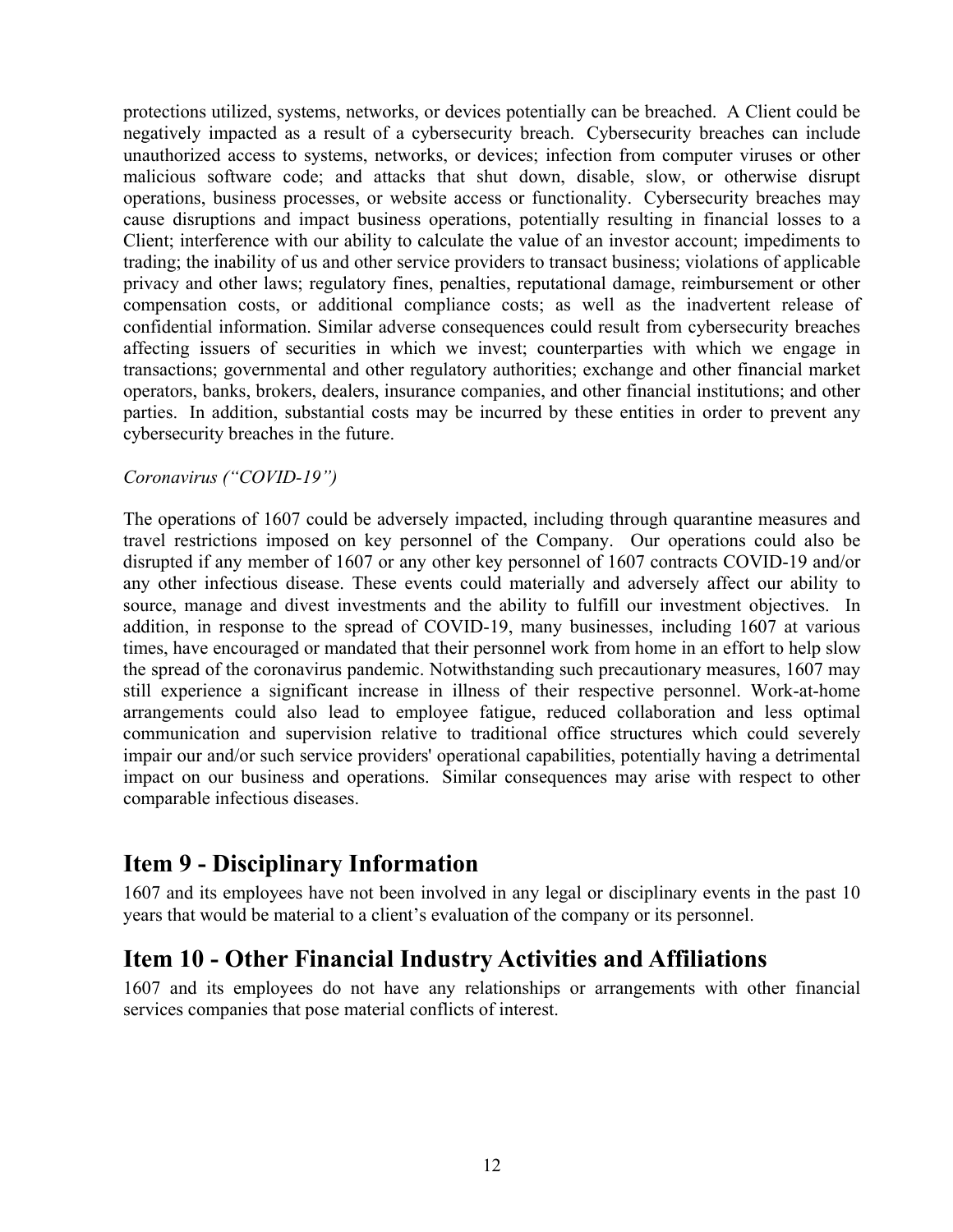protections utilized, systems, networks, or devices potentially can be breached. A Client could be negatively impacted as a result of a cybersecurity breach. Cybersecurity breaches can include unauthorized access to systems, networks, or devices; infection from computer viruses or other malicious software code; and attacks that shut down, disable, slow, or otherwise disrupt operations, business processes, or website access or functionality. Cybersecurity breaches may cause disruptions and impact business operations, potentially resulting in financial losses to a Client; interference with our ability to calculate the value of an investor account; impediments to trading; the inability of us and other service providers to transact business; violations of applicable privacy and other laws; regulatory fines, penalties, reputational damage, reimbursement or other compensation costs, or additional compliance costs; as well as the inadvertent release of confidential information. Similar adverse consequences could result from cybersecurity breaches affecting issuers of securities in which we invest; counterparties with which we engage in transactions; governmental and other regulatory authorities; exchange and other financial market operators, banks, brokers, dealers, insurance companies, and other financial institutions; and other parties. In addition, substantial costs may be incurred by these entities in order to prevent any cybersecurity breaches in the future.

#### *Coronavirus ("COVID-19")*

The operations of 1607 could be adversely impacted, including through quarantine measures and travel restrictions imposed on key personnel of the Company. Our operations could also be disrupted if any member of 1607 or any other key personnel of 1607 contracts COVID-19 and/or any other infectious disease. These events could materially and adversely affect our ability to source, manage and divest investments and the ability to fulfill our investment objectives. In addition, in response to the spread of COVID-19, many businesses, including 1607 at various times, have encouraged or mandated that their personnel work from home in an effort to help slow the spread of the coronavirus pandemic. Notwithstanding such precautionary measures, 1607 may still experience a significant increase in illness of their respective personnel. Work-at-home arrangements could also lead to employee fatigue, reduced collaboration and less optimal communication and supervision relative to traditional office structures which could severely impair our and/or such service providers' operational capabilities, potentially having a detrimental impact on our business and operations. Similar consequences may arise with respect to other comparable infectious diseases.

### **Item 9 - Disciplinary Information**

1607 and its employees have not been involved in any legal or disciplinary events in the past 10 years that would be material to a client's evaluation of the company or its personnel.

### **Item 10 - Other Financial Industry Activities and Affiliations**

1607 and its employees do not have any relationships or arrangements with other financial services companies that pose material conflicts of interest.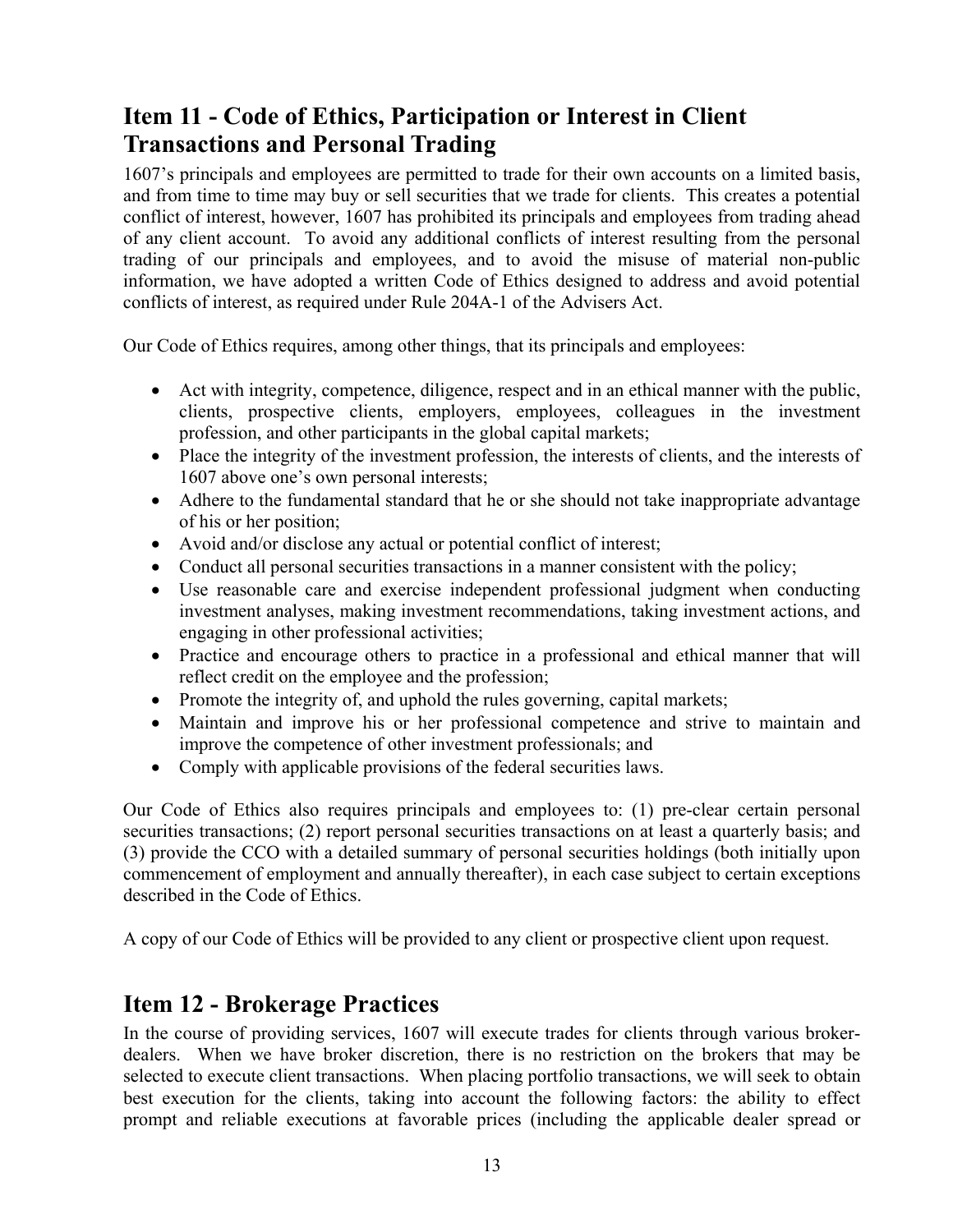# **Item 11 - Code of Ethics, Participation or Interest in Client Transactions and Personal Trading**

1607's principals and employees are permitted to trade for their own accounts on a limited basis, and from time to time may buy or sell securities that we trade for clients. This creates a potential conflict of interest, however, 1607 has prohibited its principals and employees from trading ahead of any client account. To avoid any additional conflicts of interest resulting from the personal trading of our principals and employees, and to avoid the misuse of material non-public information, we have adopted a written Code of Ethics designed to address and avoid potential conflicts of interest, as required under Rule 204A-1 of the Advisers Act.

Our Code of Ethics requires, among other things, that its principals and employees:

- Act with integrity, competence, diligence, respect and in an ethical manner with the public, clients, prospective clients, employers, employees, colleagues in the investment profession, and other participants in the global capital markets;
- Place the integrity of the investment profession, the interests of clients, and the interests of 1607 above one's own personal interests;
- Adhere to the fundamental standard that he or she should not take inappropriate advantage of his or her position;
- Avoid and/or disclose any actual or potential conflict of interest;
- Conduct all personal securities transactions in a manner consistent with the policy;
- Use reasonable care and exercise independent professional judgment when conducting investment analyses, making investment recommendations, taking investment actions, and engaging in other professional activities;
- Practice and encourage others to practice in a professional and ethical manner that will reflect credit on the employee and the profession;
- Promote the integrity of, and uphold the rules governing, capital markets;
- Maintain and improve his or her professional competence and strive to maintain and improve the competence of other investment professionals; and
- Comply with applicable provisions of the federal securities laws.

Our Code of Ethics also requires principals and employees to: (1) pre-clear certain personal securities transactions; (2) report personal securities transactions on at least a quarterly basis; and (3) provide the CCO with a detailed summary of personal securities holdings (both initially upon commencement of employment and annually thereafter), in each case subject to certain exceptions described in the Code of Ethics.

A copy of our Code of Ethics will be provided to any client or prospective client upon request.

### **Item 12 - Brokerage Practices**

In the course of providing services, 1607 will execute trades for clients through various brokerdealers. When we have broker discretion, there is no restriction on the brokers that may be selected to execute client transactions. When placing portfolio transactions, we will seek to obtain best execution for the clients, taking into account the following factors: the ability to effect prompt and reliable executions at favorable prices (including the applicable dealer spread or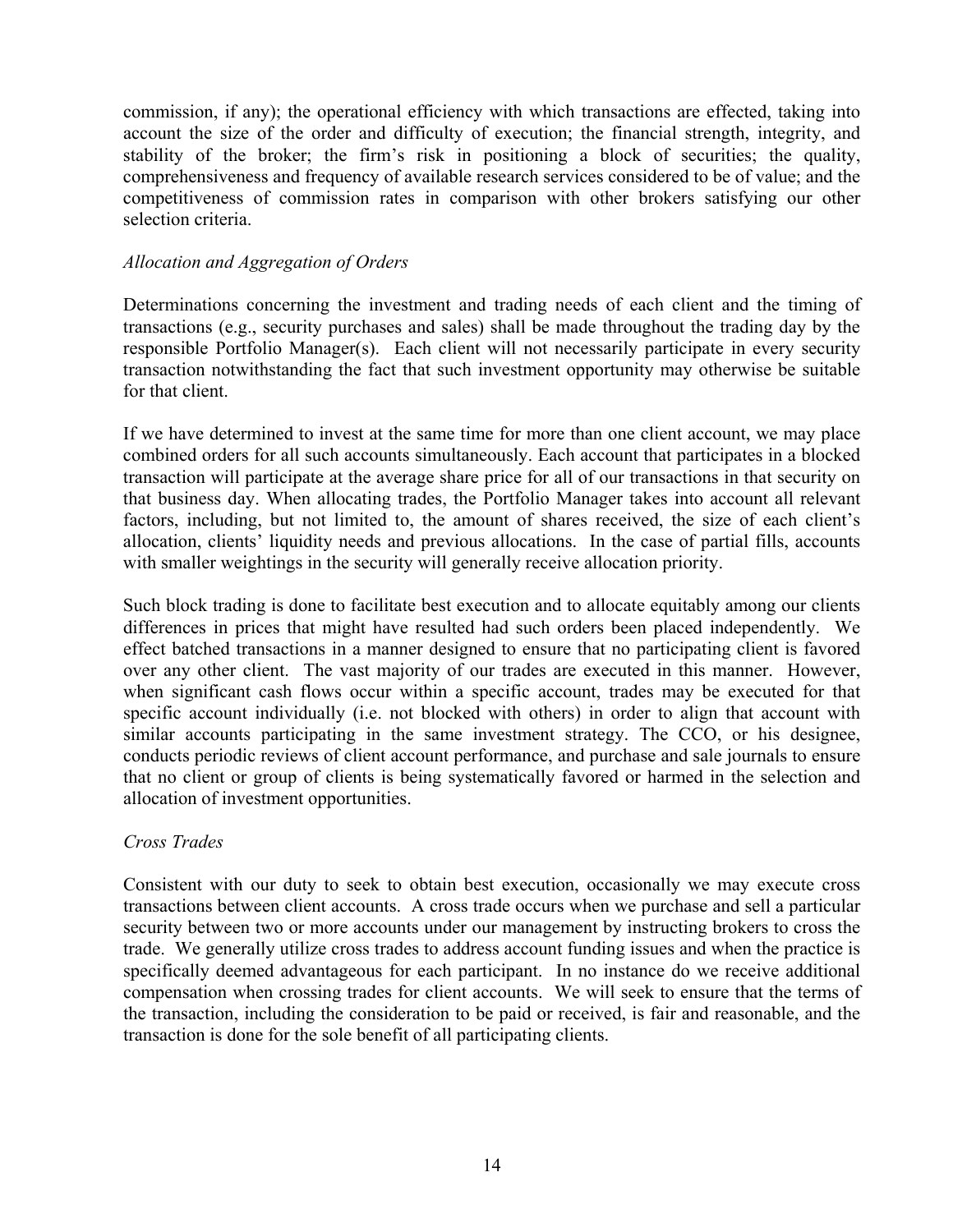commission, if any); the operational efficiency with which transactions are effected, taking into account the size of the order and difficulty of execution; the financial strength, integrity, and stability of the broker; the firm's risk in positioning a block of securities; the quality, comprehensiveness and frequency of available research services considered to be of value; and the competitiveness of commission rates in comparison with other brokers satisfying our other selection criteria.

#### *Allocation and Aggregation of Orders*

Determinations concerning the investment and trading needs of each client and the timing of transactions (e.g., security purchases and sales) shall be made throughout the trading day by the responsible Portfolio Manager(s). Each client will not necessarily participate in every security transaction notwithstanding the fact that such investment opportunity may otherwise be suitable for that client.

If we have determined to invest at the same time for more than one client account, we may place combined orders for all such accounts simultaneously. Each account that participates in a blocked transaction will participate at the average share price for all of our transactions in that security on that business day. When allocating trades, the Portfolio Manager takes into account all relevant factors, including, but not limited to, the amount of shares received, the size of each client's allocation, clients' liquidity needs and previous allocations. In the case of partial fills, accounts with smaller weightings in the security will generally receive allocation priority.

Such block trading is done to facilitate best execution and to allocate equitably among our clients differences in prices that might have resulted had such orders been placed independently. We effect batched transactions in a manner designed to ensure that no participating client is favored over any other client. The vast majority of our trades are executed in this manner. However, when significant cash flows occur within a specific account, trades may be executed for that specific account individually (i.e. not blocked with others) in order to align that account with similar accounts participating in the same investment strategy. The CCO, or his designee, conducts periodic reviews of client account performance, and purchase and sale journals to ensure that no client or group of clients is being systematically favored or harmed in the selection and allocation of investment opportunities.

#### *Cross Trades*

Consistent with our duty to seek to obtain best execution, occasionally we may execute cross transactions between client accounts. A cross trade occurs when we purchase and sell a particular security between two or more accounts under our management by instructing brokers to cross the trade. We generally utilize cross trades to address account funding issues and when the practice is specifically deemed advantageous for each participant. In no instance do we receive additional compensation when crossing trades for client accounts. We will seek to ensure that the terms of the transaction, including the consideration to be paid or received, is fair and reasonable, and the transaction is done for the sole benefit of all participating clients.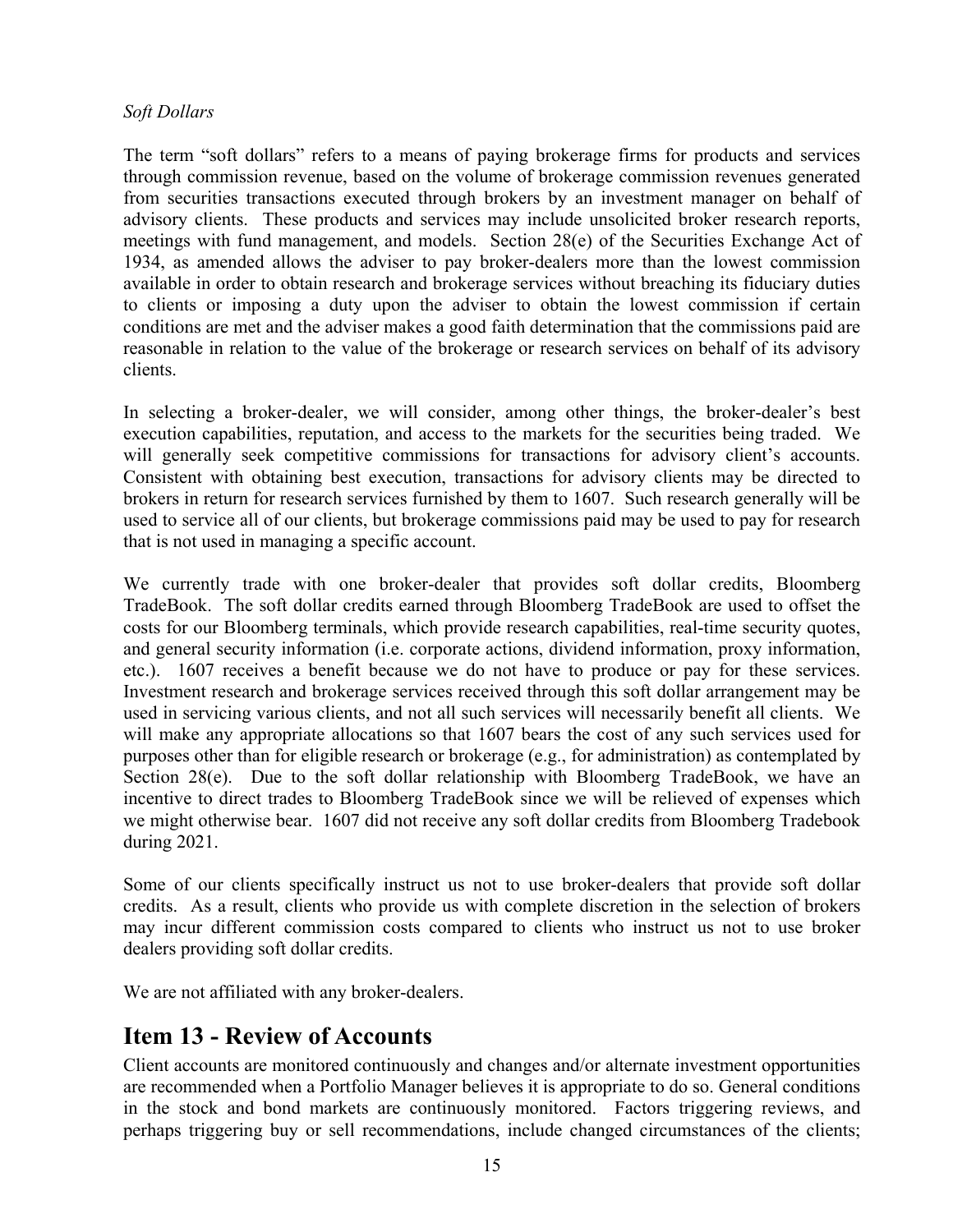#### *Soft Dollars*

The term "soft dollars" refers to a means of paying brokerage firms for products and services through commission revenue, based on the volume of brokerage commission revenues generated from securities transactions executed through brokers by an investment manager on behalf of advisory clients. These products and services may include unsolicited broker research reports, meetings with fund management, and models. Section 28(e) of the Securities Exchange Act of 1934, as amended allows the adviser to pay broker-dealers more than the lowest commission available in order to obtain research and brokerage services without breaching its fiduciary duties to clients or imposing a duty upon the adviser to obtain the lowest commission if certain conditions are met and the adviser makes a good faith determination that the commissions paid are reasonable in relation to the value of the brokerage or research services on behalf of its advisory clients.

In selecting a broker-dealer, we will consider, among other things, the broker-dealer's best execution capabilities, reputation, and access to the markets for the securities being traded. We will generally seek competitive commissions for transactions for advisory client's accounts. Consistent with obtaining best execution, transactions for advisory clients may be directed to brokers in return for research services furnished by them to 1607. Such research generally will be used to service all of our clients, but brokerage commissions paid may be used to pay for research that is not used in managing a specific account.

We currently trade with one broker-dealer that provides soft dollar credits, Bloomberg TradeBook. The soft dollar credits earned through Bloomberg TradeBook are used to offset the costs for our Bloomberg terminals, which provide research capabilities, real-time security quotes, and general security information (i.e. corporate actions, dividend information, proxy information, etc.). 1607 receives a benefit because we do not have to produce or pay for these services. Investment research and brokerage services received through this soft dollar arrangement may be used in servicing various clients, and not all such services will necessarily benefit all clients. We will make any appropriate allocations so that 1607 bears the cost of any such services used for purposes other than for eligible research or brokerage (e.g., for administration) as contemplated by Section 28(e). Due to the soft dollar relationship with Bloomberg TradeBook, we have an incentive to direct trades to Bloomberg TradeBook since we will be relieved of expenses which we might otherwise bear. 1607 did not receive any soft dollar credits from Bloomberg Tradebook during 2021.

Some of our clients specifically instruct us not to use broker-dealers that provide soft dollar credits. As a result, clients who provide us with complete discretion in the selection of brokers may incur different commission costs compared to clients who instruct us not to use broker dealers providing soft dollar credits.

We are not affiliated with any broker-dealers.

### **Item 13 - Review of Accounts**

Client accounts are monitored continuously and changes and/or alternate investment opportunities are recommended when a Portfolio Manager believes it is appropriate to do so. General conditions in the stock and bond markets are continuously monitored. Factors triggering reviews, and perhaps triggering buy or sell recommendations, include changed circumstances of the clients;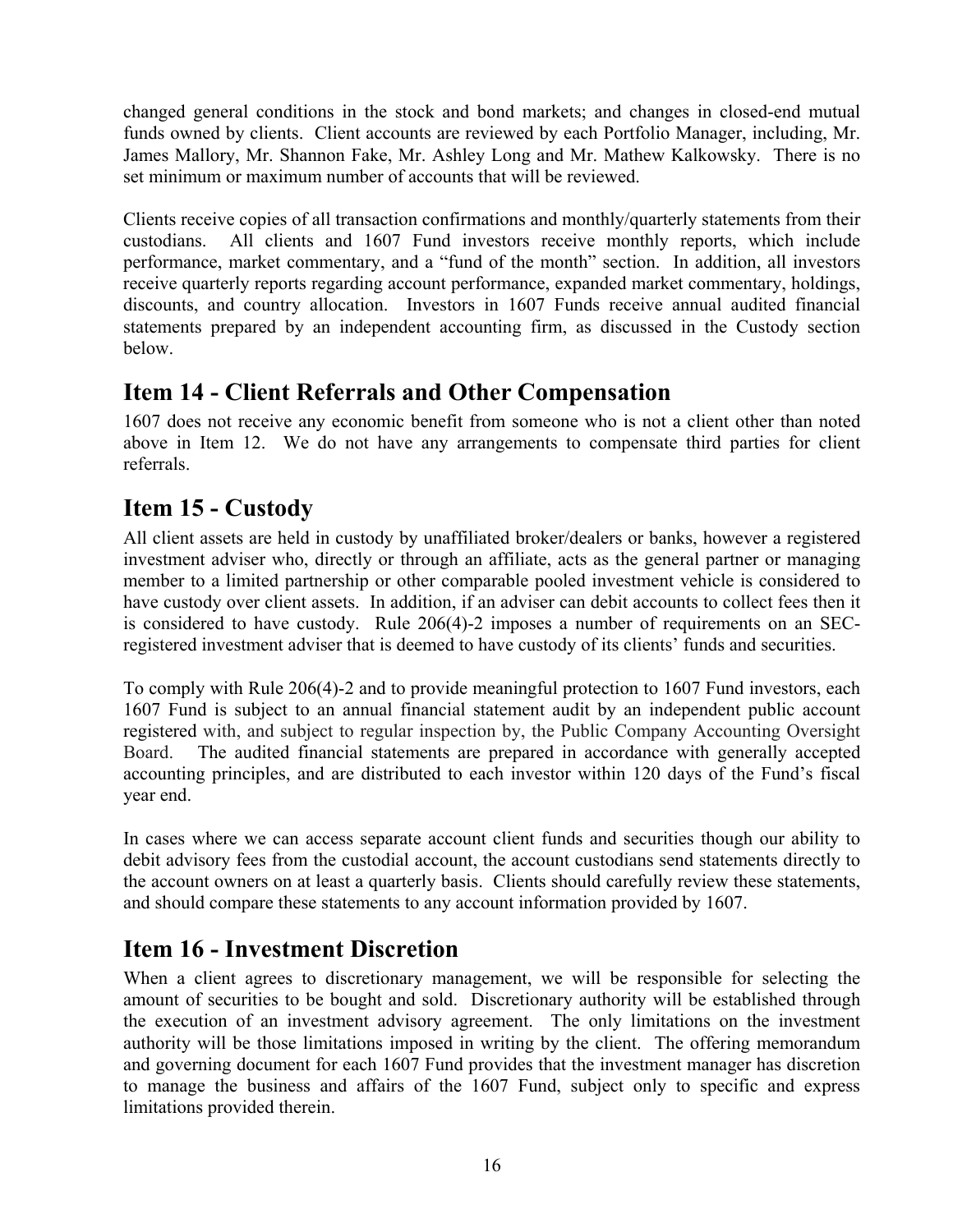changed general conditions in the stock and bond markets; and changes in closed-end mutual funds owned by clients. Client accounts are reviewed by each Portfolio Manager, including, Mr. James Mallory, Mr. Shannon Fake, Mr. Ashley Long and Mr. Mathew Kalkowsky. There is no set minimum or maximum number of accounts that will be reviewed.

Clients receive copies of all transaction confirmations and monthly/quarterly statements from their custodians. All clients and 1607 Fund investors receive monthly reports, which include performance, market commentary, and a "fund of the month" section. In addition, all investors receive quarterly reports regarding account performance, expanded market commentary, holdings, discounts, and country allocation. Investors in 1607 Funds receive annual audited financial statements prepared by an independent accounting firm, as discussed in the Custody section below.

# **Item 14 - Client Referrals and Other Compensation**

1607 does not receive any economic benefit from someone who is not a client other than noted above in Item 12. We do not have any arrangements to compensate third parties for client referrals.

# **Item 15 - Custody**

All client assets are held in custody by unaffiliated broker/dealers or banks, however a registered investment adviser who, directly or through an affiliate, acts as the general partner or managing member to a limited partnership or other comparable pooled investment vehicle is considered to have custody over client assets. In addition, if an adviser can debit accounts to collect fees then it is considered to have custody. Rule 206(4)-2 imposes a number of requirements on an SECregistered investment adviser that is deemed to have custody of its clients' funds and securities.

To comply with Rule 206(4)-2 and to provide meaningful protection to 1607 Fund investors, each 1607 Fund is subject to an annual financial statement audit by an independent public account registered with, and subject to regular inspection by, the Public Company Accounting Oversight Board. The audited financial statements are prepared in accordance with generally accepted accounting principles, and are distributed to each investor within 120 days of the Fund's fiscal year end.

In cases where we can access separate account client funds and securities though our ability to debit advisory fees from the custodial account, the account custodians send statements directly to the account owners on at least a quarterly basis. Clients should carefully review these statements, and should compare these statements to any account information provided by 1607.

# **Item 16 - Investment Discretion**

When a client agrees to discretionary management, we will be responsible for selecting the amount of securities to be bought and sold. Discretionary authority will be established through the execution of an investment advisory agreement. The only limitations on the investment authority will be those limitations imposed in writing by the client. The offering memorandum and governing document for each 1607 Fund provides that the investment manager has discretion to manage the business and affairs of the 1607 Fund, subject only to specific and express limitations provided therein.